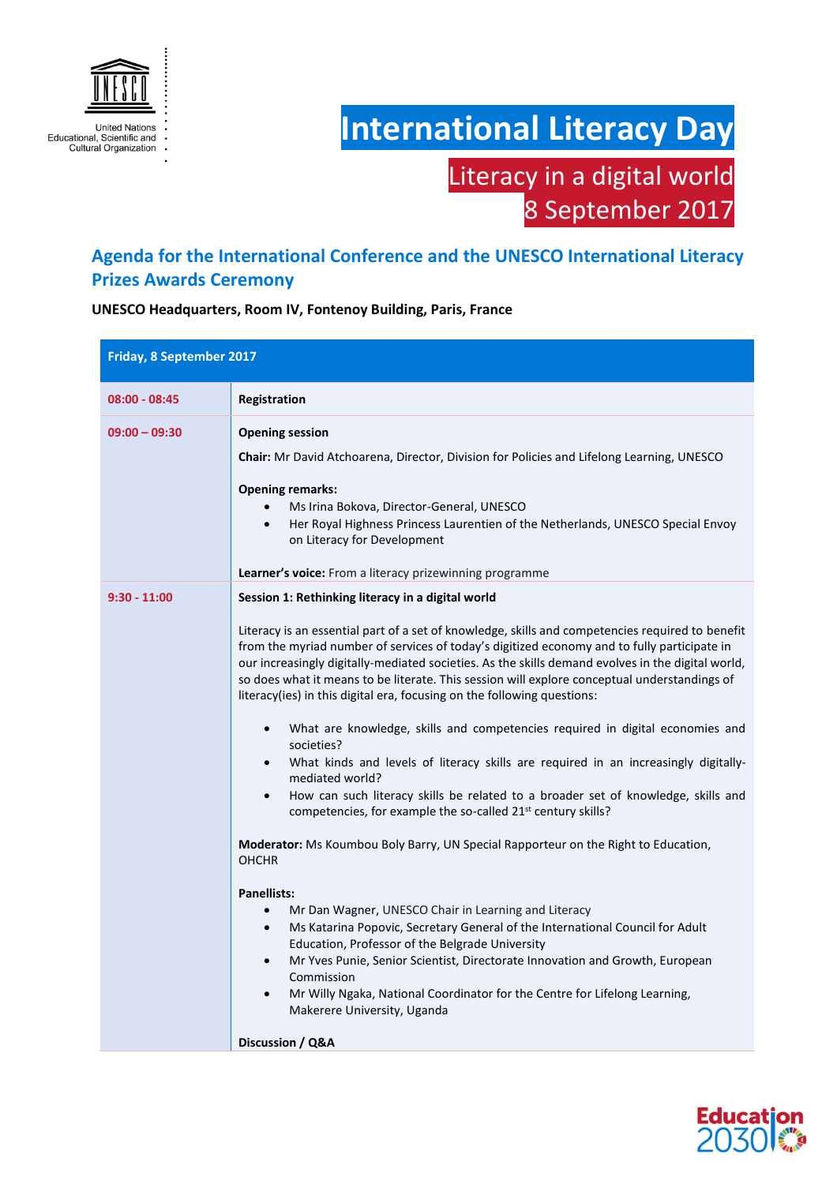

## **International Literacy Day**

## Literacy in a digital world 8 September 2017

## **Agenda for the International Conference and the UNESCO International Literacy Prizes Awards Ceremony**

**UNESCO Headquarters, Room IV, Fontenoy Building, Paris, France** 

| Friday, 8 September 2017 |                                                                                                                                                                                                                                                                                                                                                                                                                                                                                                                                                                                                                                                                                                                                                                                                                                                                                                                                                                                                                                                                                                                                                                                                                                                                                                                                                                                                                                                                                                                                                                         |
|--------------------------|-------------------------------------------------------------------------------------------------------------------------------------------------------------------------------------------------------------------------------------------------------------------------------------------------------------------------------------------------------------------------------------------------------------------------------------------------------------------------------------------------------------------------------------------------------------------------------------------------------------------------------------------------------------------------------------------------------------------------------------------------------------------------------------------------------------------------------------------------------------------------------------------------------------------------------------------------------------------------------------------------------------------------------------------------------------------------------------------------------------------------------------------------------------------------------------------------------------------------------------------------------------------------------------------------------------------------------------------------------------------------------------------------------------------------------------------------------------------------------------------------------------------------------------------------------------------------|
| $08:00 - 08:45$          | Registration                                                                                                                                                                                                                                                                                                                                                                                                                                                                                                                                                                                                                                                                                                                                                                                                                                                                                                                                                                                                                                                                                                                                                                                                                                                                                                                                                                                                                                                                                                                                                            |
| $09:00 - 09:30$          | <b>Opening session</b><br>Chair: Mr David Atchoarena, Director, Division for Policies and Lifelong Learning, UNESCO<br><b>Opening remarks:</b><br>Ms Irina Bokova, Director-General, UNESCO<br>Her Royal Highness Princess Laurentien of the Netherlands, UNESCO Special Envoy<br>on Literacy for Development<br><b>Learner's voice:</b> From a literacy prizewinning programme                                                                                                                                                                                                                                                                                                                                                                                                                                                                                                                                                                                                                                                                                                                                                                                                                                                                                                                                                                                                                                                                                                                                                                                         |
| $9:30 - 11:00$           | Session 1: Rethinking literacy in a digital world<br>Literacy is an essential part of a set of knowledge, skills and competencies required to benefit<br>from the myriad number of services of today's digitized economy and to fully participate in<br>our increasingly digitally-mediated societies. As the skills demand evolves in the digital world,<br>so does what it means to be literate. This session will explore conceptual understandings of<br>literacy(ies) in this digital era, focusing on the following questions:<br>What are knowledge, skills and competencies required in digital economies and<br>$\bullet$<br>societies?<br>What kinds and levels of literacy skills are required in an increasingly digitally-<br>$\bullet$<br>mediated world?<br>How can such literacy skills be related to a broader set of knowledge, skills and<br>$\bullet$<br>competencies, for example the so-called 21 <sup>st</sup> century skills?<br><b>Moderator:</b> Ms Koumbou Boly Barry, UN Special Rapporteur on the Right to Education,<br><b>OHCHR</b><br><b>Panellists:</b><br>Mr Dan Wagner, UNESCO Chair in Learning and Literacy<br>$\bullet$<br>Ms Katarina Popovic, Secretary General of the International Council for Adult<br>$\bullet$<br>Education, Professor of the Belgrade University<br>Mr Yves Punie, Senior Scientist, Directorate Innovation and Growth, European<br>$\bullet$<br>Commission<br>Mr Willy Ngaka, National Coordinator for the Centre for Lifelong Learning,<br>$\bullet$<br>Makerere University, Uganda<br>Discussion / Q&A |

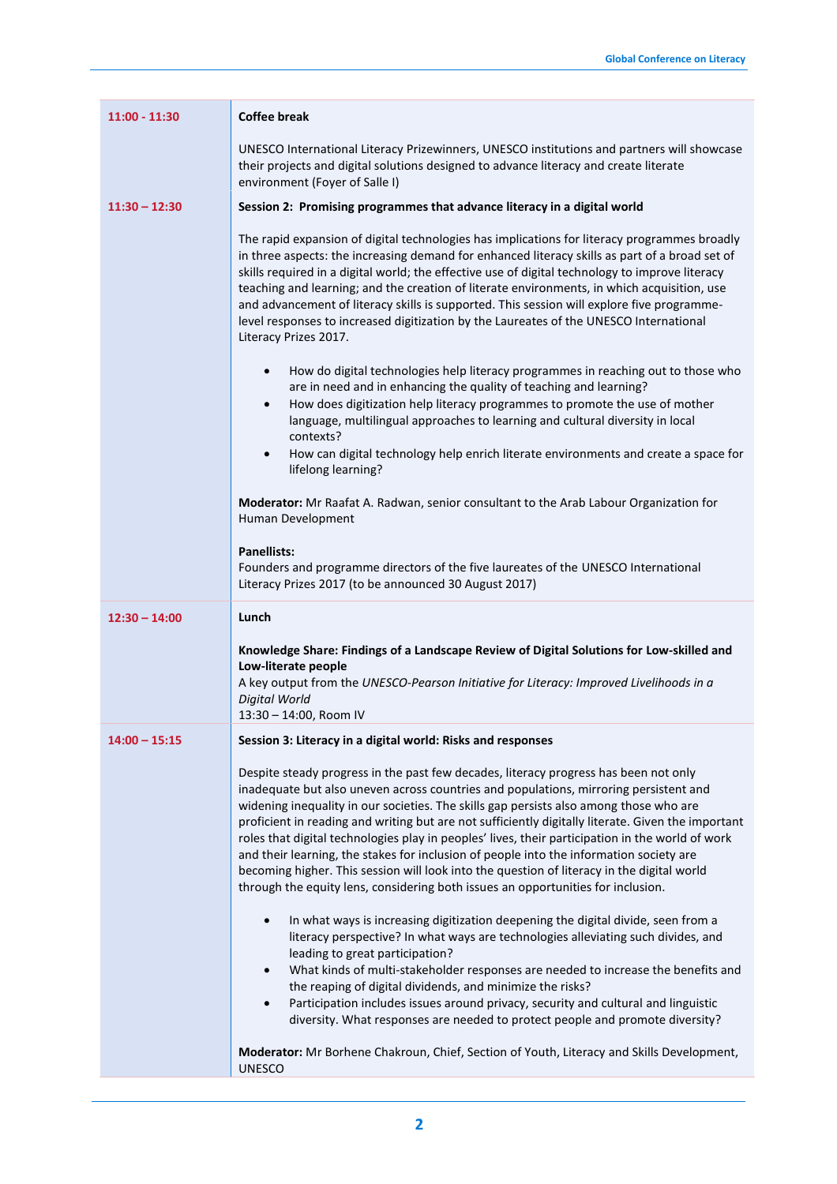| $11:00 - 11:30$ | <b>Coffee break</b>                                                                                                                                                                                                                                                                                                                                                                                                                                                                                                                                                                                                                                                                                                                                            |
|-----------------|----------------------------------------------------------------------------------------------------------------------------------------------------------------------------------------------------------------------------------------------------------------------------------------------------------------------------------------------------------------------------------------------------------------------------------------------------------------------------------------------------------------------------------------------------------------------------------------------------------------------------------------------------------------------------------------------------------------------------------------------------------------|
|                 | UNESCO International Literacy Prizewinners, UNESCO institutions and partners will showcase<br>their projects and digital solutions designed to advance literacy and create literate<br>environment (Foyer of Salle I)                                                                                                                                                                                                                                                                                                                                                                                                                                                                                                                                          |
| $11:30 - 12:30$ | Session 2: Promising programmes that advance literacy in a digital world                                                                                                                                                                                                                                                                                                                                                                                                                                                                                                                                                                                                                                                                                       |
|                 | The rapid expansion of digital technologies has implications for literacy programmes broadly<br>in three aspects: the increasing demand for enhanced literacy skills as part of a broad set of<br>skills required in a digital world; the effective use of digital technology to improve literacy<br>teaching and learning; and the creation of literate environments, in which acquisition, use<br>and advancement of literacy skills is supported. This session will explore five programme-<br>level responses to increased digitization by the Laureates of the UNESCO International<br>Literacy Prizes 2017.                                                                                                                                              |
|                 | How do digital technologies help literacy programmes in reaching out to those who<br>$\bullet$<br>are in need and in enhancing the quality of teaching and learning?<br>How does digitization help literacy programmes to promote the use of mother<br>$\bullet$                                                                                                                                                                                                                                                                                                                                                                                                                                                                                               |
|                 | language, multilingual approaches to learning and cultural diversity in local<br>contexts?                                                                                                                                                                                                                                                                                                                                                                                                                                                                                                                                                                                                                                                                     |
|                 | How can digital technology help enrich literate environments and create a space for<br>$\bullet$<br>lifelong learning?                                                                                                                                                                                                                                                                                                                                                                                                                                                                                                                                                                                                                                         |
|                 | <b>Moderator:</b> Mr Raafat A. Radwan, senior consultant to the Arab Labour Organization for<br>Human Development                                                                                                                                                                                                                                                                                                                                                                                                                                                                                                                                                                                                                                              |
|                 | <b>Panellists:</b><br>Founders and programme directors of the five laureates of the UNESCO International<br>Literacy Prizes 2017 (to be announced 30 August 2017)                                                                                                                                                                                                                                                                                                                                                                                                                                                                                                                                                                                              |
| $12:30 - 14:00$ | Lunch                                                                                                                                                                                                                                                                                                                                                                                                                                                                                                                                                                                                                                                                                                                                                          |
|                 | Knowledge Share: Findings of a Landscape Review of Digital Solutions for Low-skilled and<br>Low-literate people<br>A key output from the UNESCO-Pearson Initiative for Literacy: Improved Livelihoods in a                                                                                                                                                                                                                                                                                                                                                                                                                                                                                                                                                     |
|                 | Digital World<br>13:30 - 14:00, Room IV                                                                                                                                                                                                                                                                                                                                                                                                                                                                                                                                                                                                                                                                                                                        |
| $14:00 - 15:15$ | Session 3: Literacy in a digital world: Risks and responses                                                                                                                                                                                                                                                                                                                                                                                                                                                                                                                                                                                                                                                                                                    |
|                 | Despite steady progress in the past few decades, literacy progress has been not only<br>inadequate but also uneven across countries and populations, mirroring persistent and<br>widening inequality in our societies. The skills gap persists also among those who are<br>proficient in reading and writing but are not sufficiently digitally literate. Given the important<br>roles that digital technologies play in peoples' lives, their participation in the world of work<br>and their learning, the stakes for inclusion of people into the information society are<br>becoming higher. This session will look into the question of literacy in the digital world<br>through the equity lens, considering both issues an opportunities for inclusion. |
|                 | In what ways is increasing digitization deepening the digital divide, seen from a<br>$\bullet$<br>literacy perspective? In what ways are technologies alleviating such divides, and<br>leading to great participation?<br>$\bullet$                                                                                                                                                                                                                                                                                                                                                                                                                                                                                                                            |
|                 | What kinds of multi-stakeholder responses are needed to increase the benefits and<br>the reaping of digital dividends, and minimize the risks?<br>Participation includes issues around privacy, security and cultural and linguistic<br>$\bullet$                                                                                                                                                                                                                                                                                                                                                                                                                                                                                                              |
|                 | diversity. What responses are needed to protect people and promote diversity?<br>Moderator: Mr Borhene Chakroun, Chief, Section of Youth, Literacy and Skills Development,<br><b>UNESCO</b>                                                                                                                                                                                                                                                                                                                                                                                                                                                                                                                                                                    |